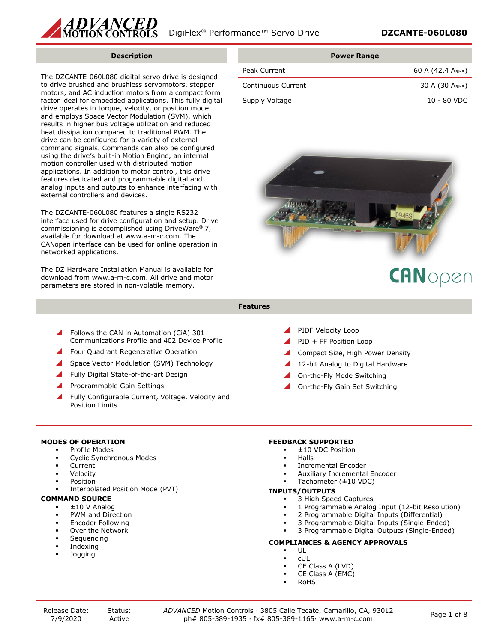

#### **Description**

The DZCANTE-060L080 digital servo drive is designed to drive brushed and brushless servomotors, stepper motors, and AC induction motors from a compact form factor ideal for embedded applications. This fully digital drive operates in torque, velocity, or position mode and employs Space Vector Modulation (SVM), which results in higher bus voltage utilization and reduced heat dissipation compared to traditional PWM. The drive can be configured for a variety of external command signals. Commands can also be configured using the drive's built-in Motion Engine, an internal motion controller used with distributed motion applications. In addition to motor control, this drive features dedicated and programmable digital and analog inputs and outputs to enhance interfacing with external controllers and devices.

The DZCANTE-060L080 features a single RS232 interface used for drive configuration and setup. Drive commissioning is accomplished using DriveWare® 7, available for download at www.a-m-c.com. The CANopen interface can be used for online operation in networked applications.

The DZ Hardware Installation Manual is available for download from www.a-m-c.com. All drive and motor parameters are stored in non-volatile memory.

|                    | <b>Power Range</b> |
|--------------------|--------------------|
| Peak Current       | 60 A (42.4 ARMS)   |
| Continuous Current | 30 A $(30 ARMS)$   |
| Supply Voltage     | $10 - 80$ VDC      |



# CANopen

- **Features**
- Follows the CAN in Automation (CiA) 301 Communications Profile and 402 Device Profile
- Four Quadrant Regenerative Operation
- Space Vector Modulation (SVM) Technology
- Fully Digital State-of-the-art Design
- Programmable Gain Settings
- Fully Configurable Current, Voltage, Velocity and Position Limits
- PIDF Velocity Loop
- 
- Compact Size, High Power Density
- 12-bit Analog to Digital Hardware
- 
- On-the-Fly Gain Set Switching

### **MODES OF OPERATION**

- Profile Modes
- Cyclic Synchronous Modes
- Current
- Velocity
- Position
- Interpolated Position Mode (PVT)

# **COMMAND SOURCE**

- ±10 V Analog
- PWM and Direction
- Encoder Following
- Over the Network
- Sequencing
- Indexing
- Jogging

### **FEEDBACK SUPPORTED**

- ±10 VDC Position
- Halls
- Incremental Encoder
- Auxiliary Incremental Encoder
- Tachometer (±10 VDC)

#### **INPUTS/OUTPUTS**

- 3 High Speed Captures
- 1 Programmable Analog Input (12-bit Resolution)
- 2 Programmable Digital Inputs (Differential)
- 3 Programmable Digital Inputs (Single-Ended)
- 3 Programmable Digital Outputs (Single-Ended)

# **COMPLIANCES & AGENCY APPROVALS**

- UL
- cUL
- CE Class A (LVD)
	- CE Class A (EMC)
- RoHS

- PID + FF Position Loop
- 
- 
- On-the-Fly Mode Switching
-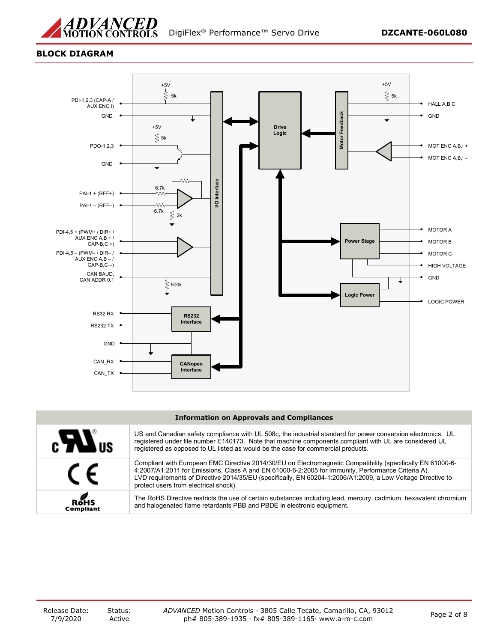

# **BLOCK DIAGRAM**



#### **Information on Approvals and Compliances**

| $c$ $\boldsymbol{H}$ <sub>us</sub> | US and Canadian safety compliance with UL 508c, the industrial standard for power conversion electronics. UL<br>registered under file number E140173. Note that machine components compliant with UL are considered UL<br>registered as opposed to UL listed as would be the case for commercial products.                                                                |
|------------------------------------|---------------------------------------------------------------------------------------------------------------------------------------------------------------------------------------------------------------------------------------------------------------------------------------------------------------------------------------------------------------------------|
| $\epsilon$                         | Compliant with European EMC Directive 2014/30/EU on Electromagnetic Compatibility (specifically EN 61000-6-<br>4:2007/A1:2011 for Emissions, Class A and EN 61000-6-2:2005 for Immunity, Performance Criteria A).<br>LVD requirements of Directive 2014/35/EU (specifically, EN 60204-1:2006/A1:2009, a Low Voltage Directive to<br>protect users from electrical shock). |
| ROHS<br><b>Compliant</b>           | The RoHS Directive restricts the use of certain substances including lead, mercury, cadmium, hexavalent chromium<br>and halogenated flame retardants PBB and PBDE in electronic equipment.                                                                                                                                                                                |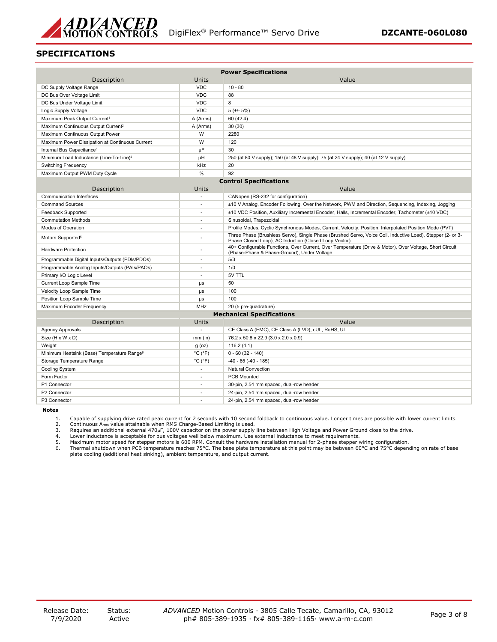

# **SPECIFICATIONS**

|                                                        |                              | <b>Power Specifications</b>                                                                                                                                         |
|--------------------------------------------------------|------------------------------|---------------------------------------------------------------------------------------------------------------------------------------------------------------------|
| Description                                            | Units                        | Value                                                                                                                                                               |
| DC Supply Voltage Range                                | <b>VDC</b>                   | $10 - 80$                                                                                                                                                           |
| DC Bus Over Voltage Limit                              | <b>VDC</b>                   | 88                                                                                                                                                                  |
| DC Bus Under Voltage Limit                             | <b>VDC</b>                   | 8                                                                                                                                                                   |
| Logic Supply Voltage                                   | <b>VDC</b>                   | $5 (+/- 5%)$                                                                                                                                                        |
| Maximum Peak Output Current <sup>1</sup>               | A (Arms)                     | 60 (42.4)                                                                                                                                                           |
| Maximum Continuous Output Current <sup>2</sup>         | A (Arms)                     | 30 (30)                                                                                                                                                             |
| Maximum Continuous Output Power                        | W                            | 2280                                                                                                                                                                |
| Maximum Power Dissipation at Continuous Current        | W                            | 120                                                                                                                                                                 |
| Internal Bus Capacitance <sup>3</sup>                  | μF                           | 30                                                                                                                                                                  |
| Minimum Load Inductance (Line-To-Line) <sup>4</sup>    | μH                           | 250 (at 80 V supply); 150 (at 48 V supply); 75 (at 24 V supply); 40 (at 12 V supply)                                                                                |
| <b>Switching Frequency</b>                             | kHz                          | 20                                                                                                                                                                  |
| Maximum Output PWM Duty Cycle                          | $\frac{0}{0}$                | 92                                                                                                                                                                  |
|                                                        |                              | <b>Control Specifications</b>                                                                                                                                       |
| Description                                            | Units                        | Value                                                                                                                                                               |
| <b>Communication Interfaces</b>                        | ÷.                           | CANopen (RS-232 for configuration)                                                                                                                                  |
| <b>Command Sources</b>                                 |                              | ±10 V Analog, Encoder Following, Over the Network, PWM and Direction, Sequencing, Indexing, Jogging                                                                 |
| <b>Feedback Supported</b>                              | ÷.                           | ±10 VDC Position, Auxiliary Incremental Encoder, Halls, Incremental Encoder, Tachometer (±10 VDC)                                                                   |
| <b>Commutation Methods</b>                             | $\sim$                       | Sinusoidal, Trapezoidal                                                                                                                                             |
| Modes of Operation                                     |                              | Profile Modes, Cyclic Synchronous Modes, Current, Velocity, Position, Interpolated Position Mode (PVT)                                                              |
| Motors Supported <sup>5</sup>                          |                              | Three Phase (Brushless Servo), Single Phase (Brushed Servo, Voice Coil, Inductive Load), Stepper (2- or 3-<br>Phase Closed Loop), AC Induction (Closed Loop Vector) |
| <b>Hardware Protection</b>                             |                              | 40+ Configurable Functions, Over Current, Over Temperature (Drive & Motor), Over Voltage, Short Circuit<br>(Phase-Phase & Phase-Ground), Under Voltage              |
| Programmable Digital Inputs/Outputs (PDIs/PDOs)        | $\sim$                       | 5/3                                                                                                                                                                 |
| Programmable Analog Inputs/Outputs (PAIs/PAOs)         |                              | 1/0                                                                                                                                                                 |
| Primary I/O Logic Level                                | $\sim$                       | 5V TTL                                                                                                                                                              |
| Current Loop Sample Time                               | $\mu s$                      | 50                                                                                                                                                                  |
| Velocity Loop Sample Time                              | $\mu s$                      | 100                                                                                                                                                                 |
| Position Loop Sample Time                              | $\mu s$                      | 100                                                                                                                                                                 |
| Maximum Encoder Frequency                              | MHz                          | 20 (5 pre-quadrature)                                                                                                                                               |
|                                                        |                              | <b>Mechanical Specifications</b>                                                                                                                                    |
| Description                                            | Units                        | Value                                                                                                                                                               |
| <b>Agency Approvals</b>                                | $\sim$                       | CE Class A (EMC), CE Class A (LVD), cUL, RoHS, UL                                                                                                                   |
| Size (H x W x D)                                       | $mm$ (in)                    | 76.2 x 50.8 x 22.9 (3.0 x 2.0 x 0.9)                                                                                                                                |
| Weight                                                 | $g$ (oz)                     | 116.2(4.1)                                                                                                                                                          |
| Minimum Heatsink (Base) Temperature Range <sup>6</sup> | $^{\circ}$ C ( $^{\circ}$ F) | $0 - 60(32 - 140)$                                                                                                                                                  |
| Storage Temperature Range                              | $^{\circ}$ C ( $^{\circ}$ F) | $-40 - 85 (-40 - 185)$                                                                                                                                              |
| Cooling System                                         | ÷.                           | <b>Natural Convection</b>                                                                                                                                           |
| Form Factor                                            | ÷                            | PCB Mounted                                                                                                                                                         |
| P1 Connector                                           |                              | 30-pin, 2.54 mm spaced, dual-row header                                                                                                                             |
| P2 Connector                                           | $\sim$                       | 24-pin, 2.54 mm spaced, dual-row header                                                                                                                             |
| P3 Connector                                           |                              | 24-pin, 2.54 mm spaced, dual-row header                                                                                                                             |

**Notes**

1. Capable of supplying drive rated peak current for 2 seconds with 10 second foldback to continuous value. Longer times are possible with lower current limits.<br>2. Continuous Arms value attainable when RMS Charge-Based

5. Maximum motor speed for stepper motors is 600 RPM. Consult the hardware installation manual for 2-phase stepper wiring configuration.<br>6. Thermal shutdown when PCB temperature reaches 75°C. The base plate temper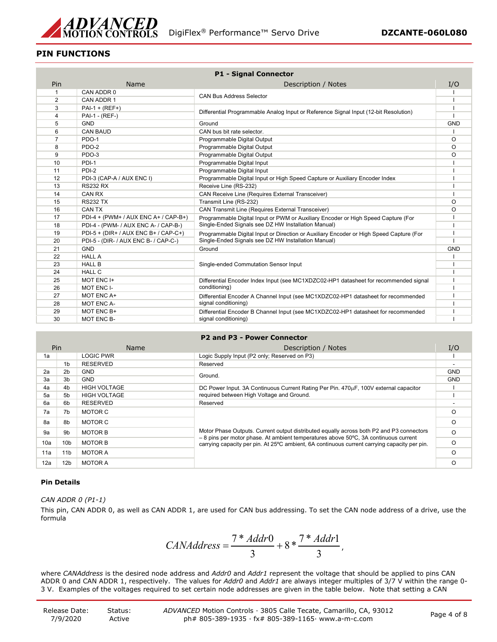

# **PIN FUNCTIONS**

|                |                                      | <b>P1 - Signal Connector</b>                                                            |            |
|----------------|--------------------------------------|-----------------------------------------------------------------------------------------|------------|
| Pin            | Name                                 | Description / Notes                                                                     | I/O        |
| $\mathbf{1}$   | CAN ADDR 0                           |                                                                                         |            |
| 2              | CAN ADDR 1                           | <b>CAN Bus Address Selector</b>                                                         |            |
| 3              | $PAI - (REF+)$                       |                                                                                         |            |
| $\overline{4}$ | PAI-1 - (REF-)                       | Differential Programmable Analog Input or Reference Signal Input (12-bit Resolution)    |            |
| 5              | <b>GND</b>                           | Ground                                                                                  | <b>GND</b> |
| 6              | <b>CAN BAUD</b>                      | CAN bus bit rate selector.                                                              |            |
| $\overline{7}$ | PDO-1                                | Programmable Digital Output                                                             | O          |
| 8              | PDO-2                                | Programmable Digital Output                                                             | O          |
| 9              | PDO-3                                | Programmable Digital Output                                                             | O          |
| 10             | PDI-1                                | Programmable Digital Input                                                              |            |
| 11             | PDI-2                                | Programmable Digital Input                                                              |            |
| 12             | PDI-3 (CAP-A / AUX ENC I)            | Programmable Digital Input or High Speed Capture or Auxiliary Encoder Index             |            |
| 13             | <b>RS232 RX</b>                      | Receive Line (RS-232)                                                                   |            |
| 14             | CAN RX                               | <b>CAN Receive Line (Requires External Transceiver)</b>                                 |            |
| 15             | <b>RS232 TX</b>                      | Transmit Line (RS-232)                                                                  | O          |
| 16             | CAN TX                               | <b>CAN Transmit Line (Requires External Transceiver)</b>                                | $\Omega$   |
| 17             | PDI-4 + (PWM+ / AUX ENC A+ / CAP-B+) | Programmable Digital Input or PWM or Auxiliary Encoder or High Speed Capture (For       |            |
| 18             | PDI-4 - (PWM- / AUX ENC A- / CAP-B-) | Single-Ended Signals see DZ HW Installation Manual)                                     |            |
| 19             | PDI-5 + (DIR+ / AUX ENC B+ / CAP-C+) | Programmable Digital Input or Direction or Auxiliary Encoder or High Speed Capture (For |            |
| 20             | PDI-5 - (DIR- / AUX ENC B- / CAP-C-) | Single-Ended Signals see DZ HW Installation Manual)                                     |            |
| 21             | <b>GND</b>                           | Ground                                                                                  | <b>GND</b> |
| 22             | <b>HALL A</b>                        |                                                                                         |            |
| 23             | <b>HALL B</b>                        | Single-ended Commutation Sensor Input                                                   |            |
| 24             | <b>HALL C</b>                        |                                                                                         |            |
| 25             | MOT ENC I+                           | Differential Encoder Index Input (see MC1XDZC02-HP1 datasheet for recommended signal    |            |
| 26             | MOT ENC I-                           | conditioning)                                                                           |            |
| 27             | MOT ENC A+                           | Differential Encoder A Channel Input (see MC1XDZC02-HP1 datasheet for recommended       |            |
| 28             | MOT ENC A-                           | signal conditioning)                                                                    |            |
| 29             | MOT ENC B+                           | Differential Encoder B Channel Input (see MC1XDZC02-HP1 datasheet for recommended       |            |
| 30             | MOT ENC B-                           | signal conditioning)                                                                    |            |

#### **P2 and P3 - Power Connector**

|     | Pin             | Name                | Description / Notes                                                                                                                                                                        | I/O        |
|-----|-----------------|---------------------|--------------------------------------------------------------------------------------------------------------------------------------------------------------------------------------------|------------|
| 1a  |                 | <b>LOGIC PWR</b>    | Logic Supply Input (P2 only; Reserved on P3)                                                                                                                                               |            |
|     | 1b              | <b>RESERVED</b>     | Reserved                                                                                                                                                                                   |            |
| 2a  | 2 <sub>b</sub>  | <b>GND</b>          | Ground.                                                                                                                                                                                    | <b>GND</b> |
| За  | 3b              | <b>GND</b>          |                                                                                                                                                                                            | <b>GND</b> |
| 4a  | 4b              | <b>HIGH VOLTAGE</b> | DC Power Input. 3A Continuous Current Rating Per Pin. 470uF, 100V external capacitor                                                                                                       |            |
| 5а  | 5b              | <b>HIGH VOLTAGE</b> | required between High Voltage and Ground.                                                                                                                                                  |            |
| 6a  | 6b              | <b>RESERVED</b>     | Reserved                                                                                                                                                                                   |            |
| 7a  | 7b              | MOTOR C             |                                                                                                                                                                                            | O          |
| 8a  | 8b              | MOTOR C             |                                                                                                                                                                                            | $\circ$    |
| 9а  | 9b              | <b>MOTOR B</b>      | Motor Phase Outputs. Current output distributed equally across both P2 and P3 connectors<br>$-8$ pins per motor phase. At ambient temperatures above 50 $\degree$ C, 3A continuous current | $\Omega$   |
| 10a | 10 <sub>b</sub> | <b>MOTOR B</b>      | carrying capacity per pin. At 25°C ambient, 6A continuous current carrying capacity per pin.                                                                                               | O          |
| 11a | 11 <sub>b</sub> | <b>MOTOR A</b>      |                                                                                                                                                                                            | O          |
| 12a | 12b             | <b>MOTOR A</b>      |                                                                                                                                                                                            | O          |

# **Pin Details**

# *CAN ADDR 0 (P1-1)*

This pin, CAN ADDR 0, as well as CAN ADDR 1, are used for CAN bus addressing. To set the CAN node address of a drive, use the formula

$$
CAMAddress = \frac{7 * Addr0}{3} + 8 * \frac{7 * Addr1}{3},
$$

where *CANAddress* is the desired node address and *Addr0* and *Addr1* represent the voltage that should be applied to pins CAN ADDR 0 and CAN ADDR 1, respectively. The values for *Addr0* and *Addr1* are always integer multiples of 3/7 V within the range 0- 3 V. Examples of the voltages required to set certain node addresses are given in the table below. Note that setting a CAN

| Release Date: | Status: | ADVANCED Motion Controls · 3805 Calle Tecate, Camarillo, CA, 93012 | Page 4 of 8 |
|---------------|---------|--------------------------------------------------------------------|-------------|
| 7/9/2020      | Active  | ph# 805-389-1935 $\cdot$ fx# 805-389-1165 $\cdot$ www.a-m-c.com    |             |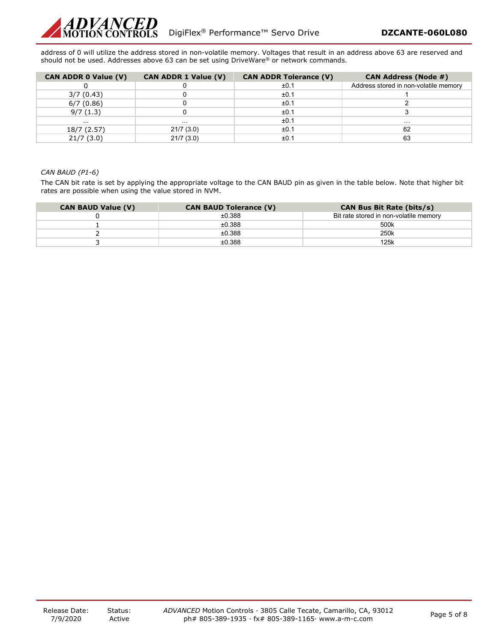

address of 0 will utilize the address stored in non-volatile memory. Voltages that result in an address above 63 are reserved and should not be used. Addresses above 63 can be set using DriveWare® or network commands.

| <b>CAN ADDR 0 Value (V)</b> | <b>CAN ADDR 1 Value (V)</b> | <b>CAN ADDR Tolerance (V)</b> | <b>CAN Address (Node #)</b>           |
|-----------------------------|-----------------------------|-------------------------------|---------------------------------------|
|                             |                             | ±0.1                          | Address stored in non-volatile memory |
| 3/7(0.43)                   |                             | ±0.1                          |                                       |
| 6/7(0.86)                   |                             | ±0.1                          |                                       |
| 9/7(1.3)                    |                             | ±0.1                          |                                       |
| .                           | $\cdots$                    | ±0.1                          | .                                     |
| 18/7 (2.57)                 | 21/7(3.0)                   | ±0.1                          | 62                                    |
| 21/7(3.0)                   | 21/7(3.0)                   | ±0.1                          | 63                                    |

#### *CAN BAUD (P1-6)*

The CAN bit rate is set by applying the appropriate voltage to the CAN BAUD pin as given in the table below. Note that higher bit rates are possible when using the value stored in NVM.

| <b>CAN BAUD Value (V)</b> | <b>CAN BAUD Tolerance (V)</b> | <b>CAN Bus Bit Rate (bits/s)</b>       |
|---------------------------|-------------------------------|----------------------------------------|
|                           | ±0.388                        | Bit rate stored in non-volatile memory |
|                           | ±0.388                        | 500k                                   |
|                           | ±0.388                        | 250k                                   |
|                           | ±0.388                        | 125k                                   |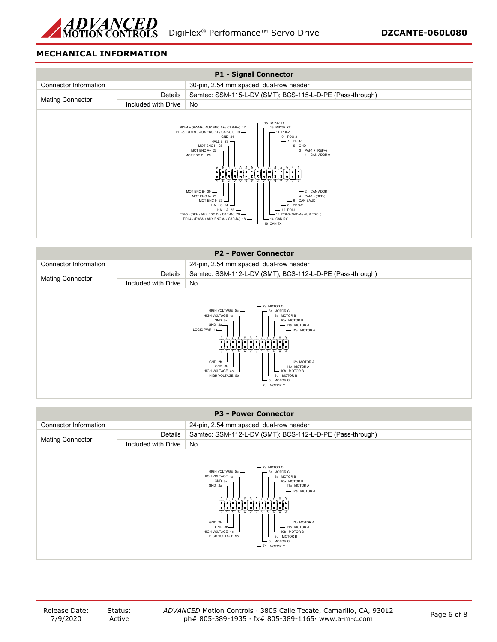

# **MECHANICAL INFORMATION**



|                              |                     | <b>P2 - Power Connector</b>                                                                                                                                                                                                                                                                                                                                                                       |
|------------------------------|---------------------|---------------------------------------------------------------------------------------------------------------------------------------------------------------------------------------------------------------------------------------------------------------------------------------------------------------------------------------------------------------------------------------------------|
| <b>Connector Information</b> |                     | 24-pin, 2.54 mm spaced, dual-row header                                                                                                                                                                                                                                                                                                                                                           |
|                              | Details             | Samtec: SSM-112-L-DV (SMT); BCS-112-L-D-PE (Pass-through)                                                                                                                                                                                                                                                                                                                                         |
| <b>Mating Connector</b>      | Included with Drive | No                                                                                                                                                                                                                                                                                                                                                                                                |
|                              |                     | 7a MOTOR C<br>HIGH VOLTAGE 5a -<br>8a MOTOR C<br>HIGH VOLTAGE 4a -<br>- 9a MOTOR B<br>$GND 3a$ $-$<br>10a MOTOR B<br>GND 2a<br>11a MOTOR A<br>LOGIC PWR 1a<br>$-12a$ MOTOR A<br>والإلغاظ فالعامل والعالمان<br>sisisisisisisisisis<br>GND $2b$ -<br>$-$ 12b MOTOR A<br>GND 3b-<br>$-$ 11b MOTOR A<br>HIGH VOLTAGE 4b-<br>10b MOTOR B<br>HIGH VOLTAGE 5b -<br>9b MOTOR B<br>8b MOTOR C<br>b MOTOR C |

|                         |                     | <b>P3 - Power Connector</b>                                                                                                                                                                                                                                                                                                                                                 |
|-------------------------|---------------------|-----------------------------------------------------------------------------------------------------------------------------------------------------------------------------------------------------------------------------------------------------------------------------------------------------------------------------------------------------------------------------|
| Connector Information   |                     | 24-pin, 2.54 mm spaced, dual-row header                                                                                                                                                                                                                                                                                                                                     |
|                         | Details             | Samtec: SSM-112-L-DV (SMT); BCS-112-L-D-PE (Pass-through)                                                                                                                                                                                                                                                                                                                   |
| <b>Mating Connector</b> | Included with Drive | No                                                                                                                                                                                                                                                                                                                                                                          |
|                         |                     | - 7a MOTOR C<br>HIGH VOLTAGE 5a -<br>8a MOTOR C<br>HIGH VOLTAGE 4a-<br>- 9a MOTOR B<br>$GND 3a$ $-$<br>$-10a$ MOTOR B<br>GND 2a<br>- 11a MOTOR A<br>$-$ 12a MOTOR A<br>لتأليا فالتأليا فالتأليا فالتأليان<br>GND $2b$ -<br>$-$ 12b MOTOR A<br>GND 3b<br>$-11b$ MOTOR A<br>HIGH VOLTAGE 4b<br>- 10b MOTOR B<br>HIGH VOLTAGE 5b -<br>- 9b MOTOR B<br>8b MOTOR C<br>7b MOTOR C |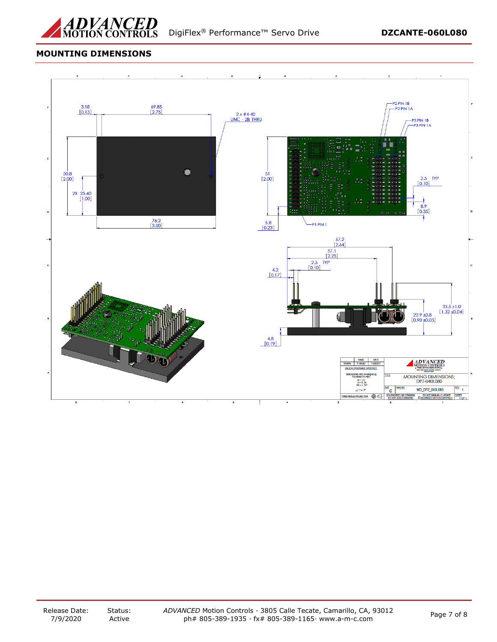

# **MOUNTING DIMENSIONS**